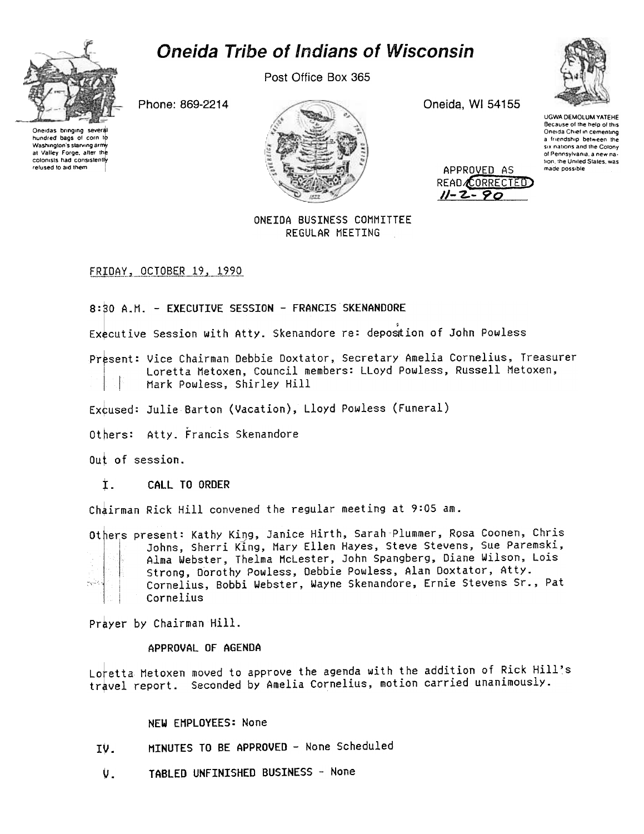# Oneida Tribe of Indians of Wisconsin



hundred baos of corn to

Washington's starving army

at Valley Forge, after the

colonists had consistently

refused to aid them

Post Office Box 365

Phone: 869-2214



Oneida, WI 54155

APPROVED AS

READ CORRECTED  $11 - 2 - 90$ 



**UGWA DEMOLUM YATEHE** Because of the help of this Oneida Chief in cementing a friendship between the six nations and the Colony of Pennsylvania, a new nation, the United States, was made possible

## ONETDA BUSINESS COMMITTEE REGULAR MEETING

FRIDAY, OCTOBER 19, 1990

8:80 A.M. - EXECUTTVE SESSION - FRANCIS SKENANDORE

Executive Session with Atty. Skenandore re: deposition of John Powless

Present: Vice Chairman Debbie Doxtator, Secretary Amelia Cornelius, Treasurer Loretta Metoxen, Council members: LLoyd Powless, Russell Metoxen, Mark Powless, Shirley Hill

Excused: Julie Barton (Vacation), Lloyd Powless (Funeral)

Others: Atty, Francis Skenandore

Out of session.

 $\mathbf{t}$ . CALL TO ORDER

Chairman Rick Hill convened the regular meeting at 9:05 am.

Others present: Kathy King, Janice Hirth, Sarah Plummer, Rosa Coonen, Chris Johns, Sherri King, Mary Ellen Hayes, Steve Stevens, Sue Paremski, Alma Webster, Thelma McLester, John Spangberg, Diane Wilson, Lois Strong, Dorothy Powless, Debbie Powless, Alan Doxtator, Atty. Cornelius, Bobbi Webster, Wayne Skenandore, Ernie Stevens Sr., Pat أجابيه Cornelius

Prayer by Chairman Hill.

APPROVAL OF AGENDA

Loretta Metoxen moved to approve the agenda with the addition of Rick Hill's travel report. Seconded by Amelia Cornelius, motion carried unanimously.

NEW EMPLOYEES: None

- MINUTES TO BE APPROVED None Scheduled IV.
- TABLED UNFINISHED BUSINESS None U.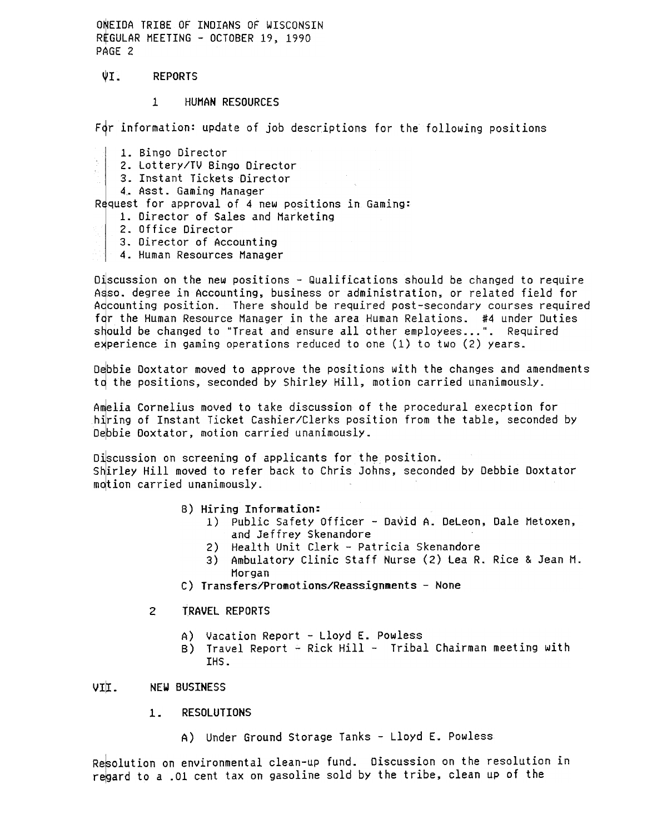ONEIDA TRIBE OF INDIANS OF WISCONSIN REGULAR MEETING - OCTOBER 19, 1990 PAGE 2

- $\sqrt{1}$ . REPORTS
	- $\mathbf{1}$ HUNAN RESOURCES

For information: update of job descriptions for the following positions

- 1. Bingo Director
- 2. Lottery/TV Bingo Director
	- 3. Instant Tickets Director
- 4. Asst. Gaming Manager

Request for approval of 4 new positions in Gaming:

- 1. Director of Sales and Marketing
- 2. Office Director
- 3. Director of Accounting
- 4. Human Resources Manager

Discussion on the new positions  $-$  Qualifications should be changed to require Asso, degree in Accounting, business or administration, or related field for Adcounting position. There should be required post-secondary courses required for the Human Resource Manager in the area Human Relations. #4 under Duties should be changed to "Treat and ensure all other employees...". Required experience in gaming operations reduced to one  $(1)$  to two  $(2)$  years.

Debbie Doxtator moved to approve the positions with the changes and amendments to the positions, seconded by Shirley Hill, motion carried unanimously.

Amelia Cornelius moved to take discussion of the procedural execption for hiring of Instant Ticket Cashier/Clerks position from the table, seconded by Debble Doxtator, motlon carrled unanlmously.

Discussion on screening of applicants for the position. Shirley Hill moved to refer back to Chris Johns, seconded by Debbie Doxtator motion carried unanimously.

- B) Hiring Information:
	- 1) Public Safety Officer David A. DeLeon, Dale Metoxen, and Jeffrey Skenandore
	- 2) Health Unit Clerk Patricia Skenandore
	- 3) Ambulatory Clinic Staff Nurse (2) lea R. Rice & Jean M. Horgan
- C) Transfers/Promotions/Reassignments None
- 2 TRAVEL REPORTS
	- A) Vacation Report -Lloyd E. Powless
	- B) Travel Report Rick Hill Tribal Chairman meeting wit IHS.

# VII. NEW BUSINESS

- RESOLUTIONS
	- A) Under Ground Storage Tanks -Lloyd E. Powless

Resolution on environmental clean-up fund. Discussion on the resolution in regard to a .01 cent tax on gasoline sold by the tribe, clean up of the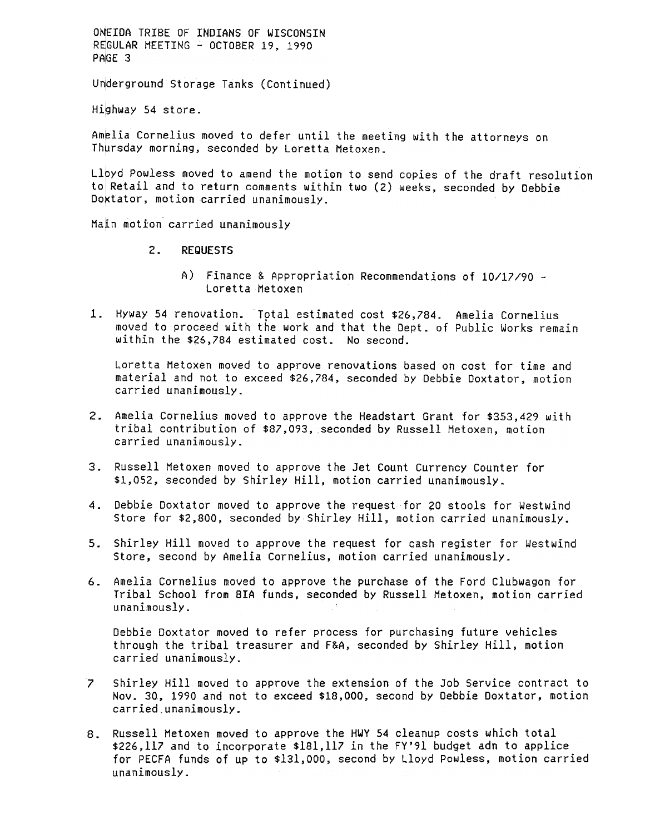ONEIDA TRIBE OF INDIANS OF WISCONSIN REGULAR MEETING - OCTOBER 19, 1990 PAGE 3

Underground Storage Tanks (Continued)

Highway 54 store.

Amelia Cornelius moved to defer until the meeting with the attorneys on Thursday morning, seconded by Loretta Metoxen.

Llbyd Powless moved to amend the motion to send copies of the draft resolution to Retail and to return comments within two (2) weeks, seconded by Debbie Doktator, motion carried unanimously.

Mafn motion carried unanimously

- $2.$ REQUESTS
	- A) Finance & Appropriation Recommendations of 10/17/90 Loretta Hetoxen
- moved to proceed with the work and that the Dept. of Public Works remain within the \$26,784 estimated cost. No second.

Loretta Metoxen moved to approve renovations based on cost for time and material and not to exceed \$26,784, seconded by Debbie Doxtator, motion carried unanimously-

- Amelia Cornelius moved to approve the Headstart Grant for \$353,429 with tribal contribution of \$87,093, seconded by Russell Hetoxen, motion carried unanimously-
- Russell Metoxen moved to approve the Jet Count Currency Counter for \$1,052, seconded by Shirley Hill, motion carried unanimously.
- 4. Debbie Doxtator moved to approve the request for 20 stools for Westwind Store for \$2,800, seconded by Shirley Hill, motion carried unanimously-
- Store, second by Amelia Cornelius, motion carried unanimously.
- 6. Amelia Cornelius moved to approve the purchase of the Ford Clubwagon for Tribal School from BlA funds, seconded by Russell Hetoxen, motion carried unanimously-

Debbie Doxtator moved to refer process for purchasing future vehicles through the tribal treasurer and F&A, seconded by Shirley Hill, motion carried unanimously-

- 7 Shirley Hill moved to approve the extension of the Job Service contract to Nov. 30, 1990 and not to exceed \$18,000, second by Debbie Doxtator, motion
- 1. Hyway 54 renovation. Thinl estimated cost \$26,784. Amelia Cornelius unverting moved to proceed with the urk and that the Bept. of Public Works relation. In particular the station distribution to second.<br>
Loretia Metavan 5. Shirley Hill moved to approve the request for cash register for Westwind Store, second by Amelia Cornelius, motion carried unanimously.<br>6. Amelia Cornelius moved to approve the purchase of the Ford Clubwagon for Tribal 8. Russell Metoxen moved to approve the HWY 54 cleanup costs which totally 226,117 and to incorporate \$181,117 in the FY'91 budget adn to appl for PECFA funds of up to \$131,000, second by Lloyd Powless, motion cunanimously \$226,117 and to incorporate \$181,117 in the FY'91 budget adn to app1ice for PECFA funds of up to \$131,000, second by Lloyd Powless, motion carried unanimously-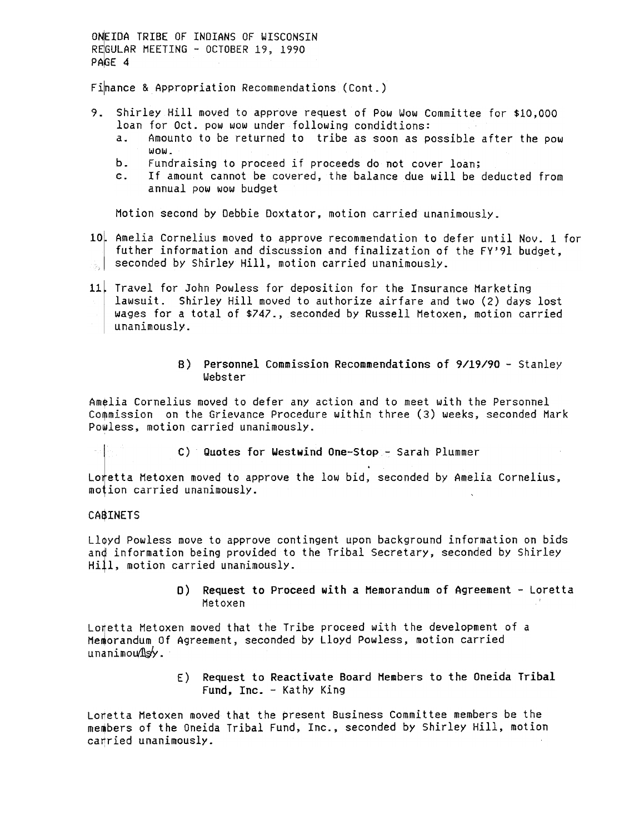ONEIDA TRIBE OF INDIANS OF WISCONSIN REGULAR MEETING -OCTOBER 19, 1990 PAGE 4

Finance & Appropriation Recommendations (Cont.)

- 9. Shirley Hill moved to approve request of Pow Wow Committee for \$10,000 loan for Oct. pow wow under following condidtions: a. Amounto to be returned to tribe as soon as possible after the pow
	- wow.
	- b. Fundraising to proceed if proceeds do not cover loan;
	- c. If amount cannot be covered, the balance due will be deducted from annual pow wow budget

Motion second by Debbie Doxtator, motion carried unanimously-

Amelia Cornelius moved to approve recommendation to defer until Nov. 1 for futher information and discussion and finalization of the FY'91 budget,  $s_{\text{obs}}$  seconded by Shirley Hill, motion carried unanimously.

11. Travel for John Powless for deposition for the Insurance Marketing lawsuit. Shirley Hill moved to authorize airfare and two (2) days lost wages for a total of \$747., seconded by Russell Hetoxen, motion carried unanimously.

### B) Personnel Commission Recommendations of 9/19/90 - Stanley Webster

Amelia Cornelius moved to defer any action and to meet with the Personnel Commission on the Grievance Procedure within three (3) weeks, seconded Mark Powless, motion carried unanimously.

**the c)** Quotes for Westwind One-Stop- Sarah Plummer

Loretta Metoxen moved to approve the low bid, seconded by Amelia Cornelius, motion carried unanimously.

#### CA\$INETS

Lloyd Powless move to approve contingent upon background information on bids anq information being provided to the Tribal Secretary, seconded by Shirley Hill, motion carried unanimously.

> D) Request to Proceed with a Memorandum of Agreement -Loretta Hetoxen

Lofetta Metoxen moved that the Tribe proceed with the development of a Memorandum Of Agreement, seconded by Lloyd Powless, motion carried  $unanimou$  $\mathbb{I}\mathbb{S}\mathbb{V}$ .

> E) Request to Reactivate Board Members to the Oneida Trib Fund, Inc. - Kathy King

Loretta Metoxen moved that the present Business Committee members be the members of the Oneida Tribal Fund, Inc., seconded by Shirley Hill, motion carried unanimously.